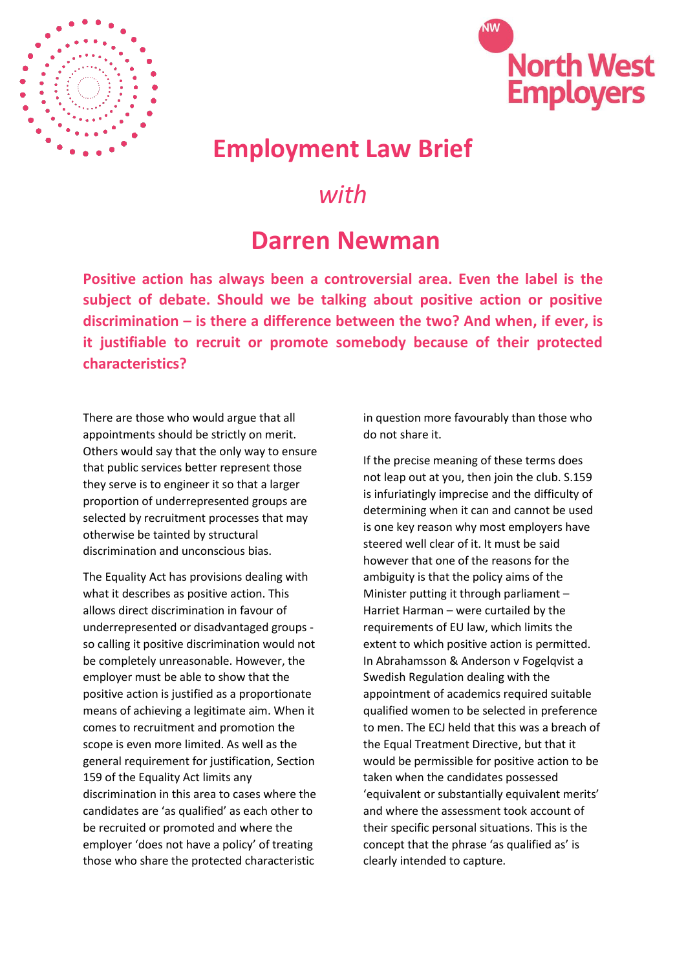



## **Employment Law Brief**

## *with*

## **Darren Newman**

**Positive action has always been a controversial area. Even the label is the subject of debate. Should we be talking about positive action or positive discrimination – is there a difference between the two? And when, if ever, is it justifiable to recruit or promote somebody because of their protected characteristics?**

There are those who would argue that all appointments should be strictly on merit. Others would say that the only way to ensure that public services better represent those they serve is to engineer it so that a larger proportion of underrepresented groups are selected by recruitment processes that may otherwise be tainted by structural discrimination and unconscious bias.

The Equality Act has provisions dealing with what it describes as positive action. This allows direct discrimination in favour of underrepresented or disadvantaged groups so calling it positive discrimination would not be completely unreasonable. However, the employer must be able to show that the positive action is justified as a proportionate means of achieving a legitimate aim. When it comes to recruitment and promotion the scope is even more limited. As well as the general requirement for justification, Section 159 of the Equality Act limits any discrimination in this area to cases where the candidates are 'as qualified' as each other to be recruited or promoted and where the employer 'does not have a policy' of treating those who share the protected characteristic

in question more favourably than those who do not share it.

If the precise meaning of these terms does not leap out at you, then join the club. S.159 is infuriatingly imprecise and the difficulty of determining when it can and cannot be used is one key reason why most employers have steered well clear of it. It must be said however that one of the reasons for the ambiguity is that the policy aims of the Minister putting it through parliament – Harriet Harman – were curtailed by the requirements of EU law, which limits the extent to which positive action is permitted. In Abrahamsson & Anderson v Fogelqvist a Swedish Regulation dealing with the appointment of academics required suitable qualified women to be selected in preference to men. The ECJ held that this was a breach of the Equal Treatment Directive, but that it would be permissible for positive action to be taken when the candidates possessed 'equivalent or substantially equivalent merits' and where the assessment took account of their specific personal situations. This is the concept that the phrase 'as qualified as' is clearly intended to capture.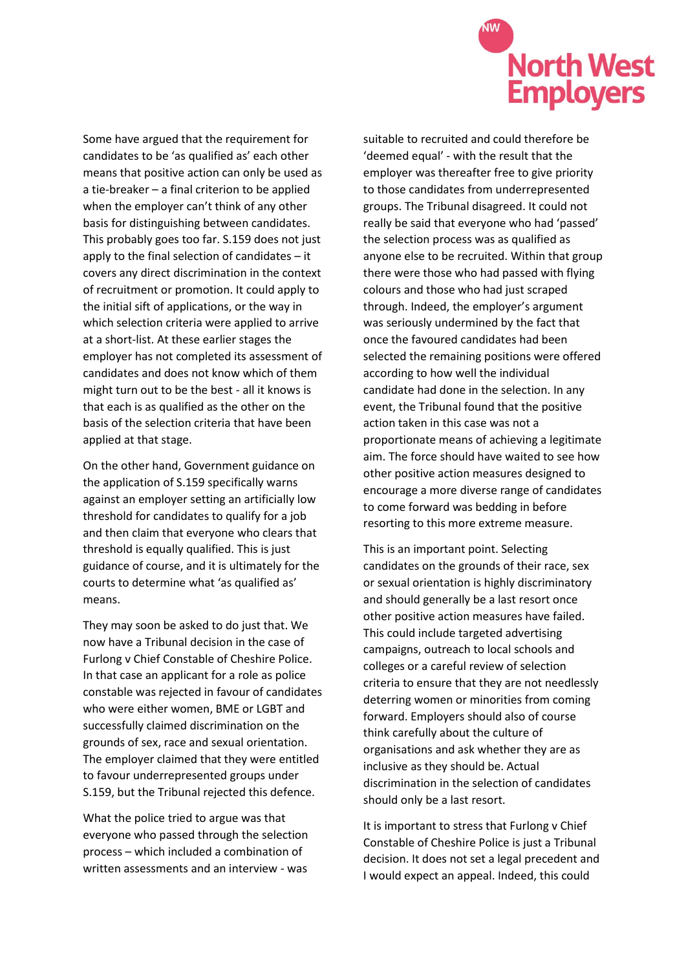

Some have argued that the requirement for candidates to be 'as qualified as' each other means that positive action can only be used as a tie-breaker – a final criterion to be applied when the employer can't think of any other basis for distinguishing between candidates. This probably goes too far. S.159 does not just apply to the final selection of candidates – it covers any direct discrimination in the context of recruitment or promotion. It could apply to the initial sift of applications, or the way in which selection criteria were applied to arrive at a short-list. At these earlier stages the employer has not completed its assessment of candidates and does not know which of them might turn out to be the best - all it knows is that each is as qualified as the other on the basis of the selection criteria that have been applied at that stage.

On the other hand, Government guidance on the application of S.159 specifically warns against an employer setting an artificially low threshold for candidates to qualify for a job and then claim that everyone who clears that threshold is equally qualified. This is just guidance of course, and it is ultimately for the courts to determine what 'as qualified as' means.

They may soon be asked to do just that. We now have a Tribunal decision in the case of Furlong v Chief Constable of Cheshire Police. In that case an applicant for a role as police constable was rejected in favour of candidates who were either women, BME or LGBT and successfully claimed discrimination on the grounds of sex, race and sexual orientation. The employer claimed that they were entitled to favour underrepresented groups under S.159, but the Tribunal rejected this defence.

What the police tried to argue was that everyone who passed through the selection process – which included a combination of written assessments and an interview - was

suitable to recruited and could therefore be 'deemed equal' - with the result that the employer was thereafter free to give priority to those candidates from underrepresented groups. The Tribunal disagreed. It could not really be said that everyone who had 'passed' the selection process was as qualified as anyone else to be recruited. Within that group there were those who had passed with flying colours and those who had just scraped through. Indeed, the employer's argument was seriously undermined by the fact that once the favoured candidates had been selected the remaining positions were offered according to how well the individual candidate had done in the selection. In any event, the Tribunal found that the positive action taken in this case was not a proportionate means of achieving a legitimate aim. The force should have waited to see how other positive action measures designed to encourage a more diverse range of candidates to come forward was bedding in before resorting to this more extreme measure.

This is an important point. Selecting candidates on the grounds of their race, sex or sexual orientation is highly discriminatory and should generally be a last resort once other positive action measures have failed. This could include targeted advertising campaigns, outreach to local schools and colleges or a careful review of selection criteria to ensure that they are not needlessly deterring women or minorities from coming forward. Employers should also of course think carefully about the culture of organisations and ask whether they are as inclusive as they should be. Actual discrimination in the selection of candidates should only be a last resort.

It is important to stress that Furlong v Chief Constable of Cheshire Police is just a Tribunal decision. It does not set a legal precedent and I would expect an appeal. Indeed, this could